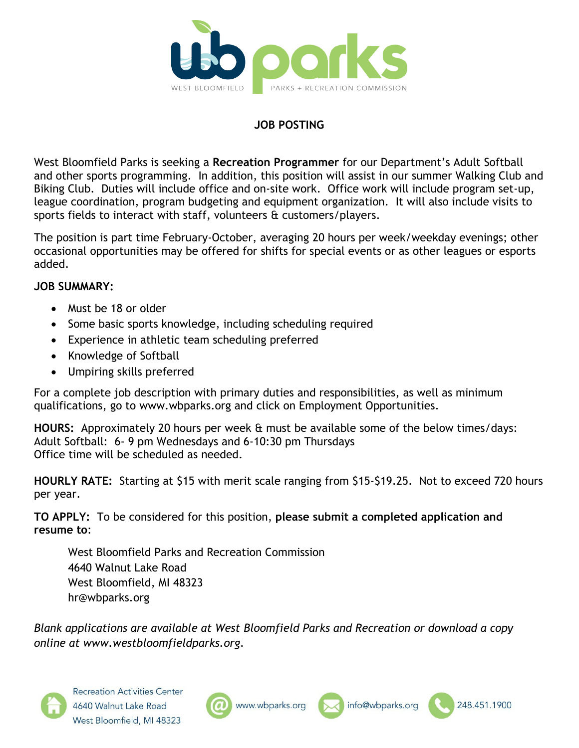

# **JOB POSTING**

West Bloomfield Parks is seeking a **Recreation Programmer** for our Department's Adult Softball and other sports programming. In addition, this position will assist in our summer Walking Club and Biking Club. Duties will include office and on-site work. Office work will include program set-up, league coordination, program budgeting and equipment organization. It will also include visits to sports fields to interact with staff, volunteers & customers/players.

The position is part time February-October, averaging 20 hours per week/weekday evenings; other occasional opportunities may be offered for shifts for special events or as other leagues or esports added.

### **JOB SUMMARY:**

- Must be 18 or older
- Some basic sports knowledge, including scheduling required
- Experience in athletic team scheduling preferred
- Knowledge of Softball
- Umpiring skills preferred

For a complete job description with primary duties and responsibilities, as well as minimum qualifications, go to www.wbparks.org and click on Employment Opportunities.

**HOURS:** Approximately 20 hours per week & must be available some of the below times/days: Adult Softball: 6- 9 pm Wednesdays and 6-10:30 pm Thursdays Office time will be scheduled as needed.

**HOURLY RATE:** Starting at \$15 with merit scale ranging from \$15-\$19.25. Not to exceed 720 hours per year.

**TO APPLY:** To be considered for this position, **please submit a completed application and resume to**:

West Bloomfield Parks and Recreation Commission 4640 Walnut Lake Road West Bloomfield, MI 48323 hr@wbparks.org

*Blank applications are available at West Bloomfield Parks and Recreation or download a copy online at www.westbloomfieldparks.org.*







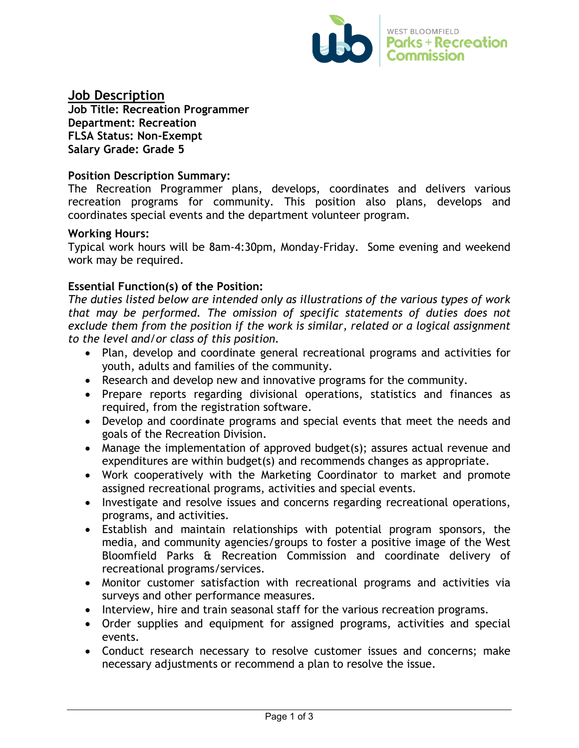

**Job Description**

**Job Title: Recreation Programmer Department: Recreation FLSA Status: Non-Exempt Salary Grade: Grade 5**

#### **Position Description Summary:**

The Recreation Programmer plans, develops, coordinates and delivers various recreation programs for community. This position also plans, develops and coordinates special events and the department volunteer program.

#### **Working Hours:**

Typical work hours will be 8am-4:30pm, Monday-Friday. Some evening and weekend work may be required.

### **Essential Function(s) of the Position:**

*The duties listed below are intended only as illustrations of the various types of work that may be performed. The omission of specific statements of duties does not exclude them from the position if the work is similar, related or a logical assignment to the level and/or class of this position.*

- Plan, develop and coordinate general recreational programs and activities for youth, adults and families of the community.
- Research and develop new and innovative programs for the community.
- Prepare reports regarding divisional operations, statistics and finances as required, from the registration software.
- Develop and coordinate programs and special events that meet the needs and goals of the Recreation Division.
- Manage the implementation of approved budget(s); assures actual revenue and expenditures are within budget(s) and recommends changes as appropriate.
- Work cooperatively with the Marketing Coordinator to market and promote assigned recreational programs, activities and special events.
- Investigate and resolve issues and concerns regarding recreational operations, programs, and activities.
- Establish and maintain relationships with potential program sponsors, the media, and community agencies/groups to foster a positive image of the West Bloomfield Parks & Recreation Commission and coordinate delivery of recreational programs/services.
- Monitor customer satisfaction with recreational programs and activities via surveys and other performance measures.
- Interview, hire and train seasonal staff for the various recreation programs.
- Order supplies and equipment for assigned programs, activities and special events.
- Conduct research necessary to resolve customer issues and concerns; make necessary adjustments or recommend a plan to resolve the issue.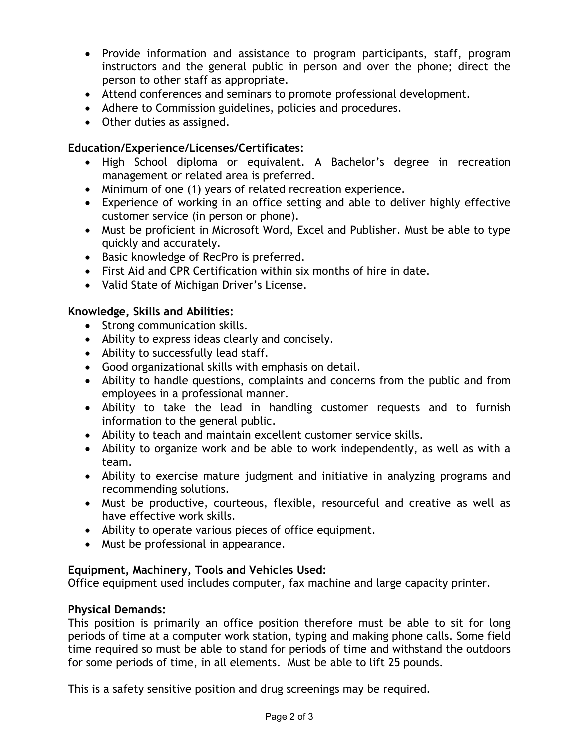- Provide information and assistance to program participants, staff, program instructors and the general public in person and over the phone; direct the person to other staff as appropriate.
- Attend conferences and seminars to promote professional development.
- Adhere to Commission guidelines, policies and procedures.
- Other duties as assigned.

# **Education/Experience/Licenses/Certificates:**

- High School diploma or equivalent. A Bachelor's degree in recreation management or related area is preferred.
- Minimum of one (1) years of related recreation experience.
- Experience of working in an office setting and able to deliver highly effective customer service (in person or phone).
- Must be proficient in Microsoft Word, Excel and Publisher. Must be able to type quickly and accurately.
- Basic knowledge of RecPro is preferred.
- First Aid and CPR Certification within six months of hire in date.
- Valid State of Michigan Driver's License.

# **Knowledge, Skills and Abilities:**

- Strong communication skills.
- Ability to express ideas clearly and concisely.
- Ability to successfully lead staff.
- Good organizational skills with emphasis on detail.
- Ability to handle questions, complaints and concerns from the public and from employees in a professional manner.
- Ability to take the lead in handling customer requests and to furnish information to the general public.
- Ability to teach and maintain excellent customer service skills.
- Ability to organize work and be able to work independently, as well as with a team.
- Ability to exercise mature judgment and initiative in analyzing programs and recommending solutions.
- Must be productive, courteous, flexible, resourceful and creative as well as have effective work skills.
- Ability to operate various pieces of office equipment.
- Must be professional in appearance.

# **Equipment, Machinery, Tools and Vehicles Used:**

Office equipment used includes computer, fax machine and large capacity printer.

# **Physical Demands:**

This position is primarily an office position therefore must be able to sit for long periods of time at a computer work station, typing and making phone calls. Some field time required so must be able to stand for periods of time and withstand the outdoors for some periods of time, in all elements. Must be able to lift 25 pounds.

This is a safety sensitive position and drug screenings may be required.